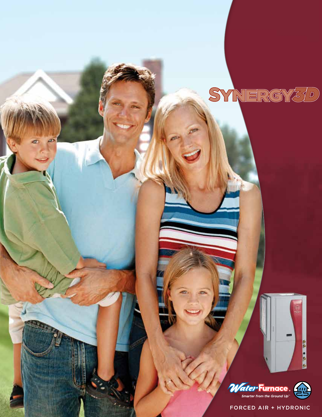



**CCC OCCC** 

FORCED AIR + HYDRONIC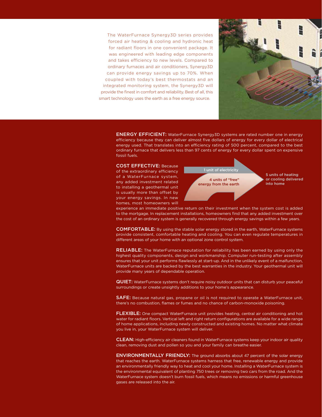The WaterFurnace Synergy3D series provides forced air heating & cooling and hydronic heat for radiant floors in one convenient package. It was engineered with leading edge components and takes efficiency to new levels. Compared to ordinary furnaces and air conditioners, Synergy3D can provide energy savings up to 70%. When coupled with today's best thermostats and an integrated monitoring system, the Synergy3D will provide the finest in comfort and reliability. Best of all, this smart technology uses the earth as a free energy source.



ENERGY EFFICIENT: WaterFurnace Synergy3D systems are rated number one in energy efficiency because they can deliver almost five dollars of energy for every dollar of electrical energy used. That translates into an efficiency rating of 500 percent, compared to the best ordinary furnace that delivers less than 97 cents of energy for every dollar spent on expensive fossil fuels.

COST EFFECTIVE: Because of the extraordinary efficiency of a WaterFurnace system, any added investment related to installing a geothermal unit is usually more than offset by your energy savings. In new homes, most homeowners will



5 units of heating or cooling delivered into home

experience an immediate positive return on their investment when the system cost is added to the mortgage. In replacement installations, homeowners find that any added investment over the cost of an ordinary system is generally recovered through energy savings within a few years.

COMFORTABLE: By using the stable solar energy stored in the earth, WaterFurnace systems provide consistent, comfortable heating and cooling. You can even regulate temperatures in different areas of your home with an optional zone control system.

RELIABLE: The WaterFurnace reputation for reliability has been earned by using only the highest quality components, design and workmanship. Computer run-testing after assembly ensures that your unit performs flawlessly at start-up. And in the unlikely event of a malfunction, WaterFurnace units are backed by the best warranties in the industry. Your geothermal unit will provide many years of dependable operation.

QUIET: WaterFurnace systems don't require noisy outdoor units that can disturb your peaceful surroundings or create unsightly additions to your home's appearance.

SAFE: Because natural gas, propane or oil is not required to operate a WaterFurnace unit, there's no combustion, flames or fumes and no chance of carbon-monoxide poisoning.

**FLEXIBLE:** One compact WaterFurnace unit provides heating, central air conditioning and hot water for radiant floors. Vertical left and right return configurations are available for a wide range of home applications, including newly constructed and existing homes. No matter what climate you live in, your WaterFurnace system will deliver.

CLEAN: High-efficiency air cleaners found in WaterFurnace systems keep your indoor air quality clean, removing dust and pollen so you and your family can breathe easier.

ENVIRONMENTALLY FRIENDLY: The ground absorbs about 47 percent of the solar energy that reaches the earth. WaterFurnace systems harness that free, renewable energy and provide an environmentally friendly way to heat and cool your home. Installing a WaterFurnace system is the environmental equivalent of planting 750 trees or removing two cars from the road. And the WaterFurnace system doesn't burn fossil fuels, which means no emissions or harmful greenhouse gases are released into the air.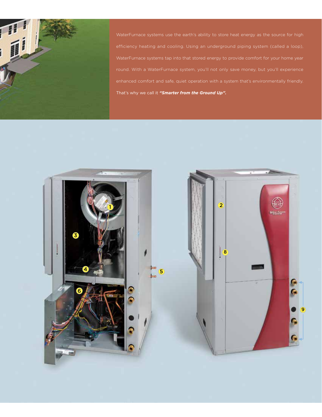

WaterFurnace systems use the earth's ability to store heat energy as the source for high That's why we call it *"Smarter from the Ground Up".* 

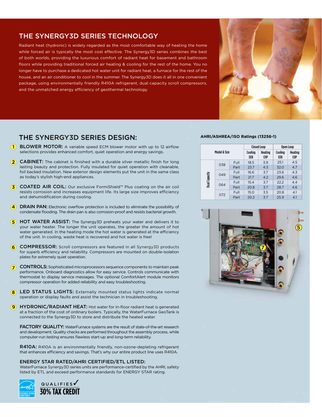# THE SYNERGY3D SERIES TECHNOLOGY

Radiant heat (hydronic) is widely regarded as the most comfortable way of heating the home while forced air is typically the most cost effective. The Synergy3D series combines the best of both worlds, providing the luxurious comfort of radiant heat for basement and bathroom floors while providing traditional forced air heating & cooling for the rest of the home. You no longer have to purchase a dedicated hot water unit for radiant heat, a furnace for the rest of the house, and an air conditioner to cool in the summer. The Synergy3D does it all in one convenient package, using environmentally friendly R410A refrigerant, dual capacity scroll compressors, and the unmatched energy efficiency of geothermal technology.



# THE SYNERGY3D SERIES DESIGN:

- **1** BLOWER MOTOR: A variable speed ECM blower motor with up to 12 airflow selections provides enhanced comfort, quiet operation and energy savings.
- **2 CABINET:** The cabinet is finished with a durable silver metallic finish for long lasting beauty and protection. Fully insulated for quiet operation with cleanable, foil backed insulation. New exterior design elements put the unit in the same class as today's stylish high-end appliances.
- (3) COATED AIR COIL: Our exclusive FormiShield™ Plus coating on the air coil resists corrosion and increases equipment life. Its large size improves efficiency and dehumidification during cooling.
- **4** DRAIN PAN: Electronic overflow protection is included to eliminate the possibility of condensate flooding. The drain pan is also corrosion-proof and resists bacterial growth.
- **5** HOT WATER ASSIST: The Synergy3D preheats your water and delivers it to your water heater. The longer the unit operates, the greater the amount of hot water generated. In the heating mode the hot water is generated at the efficiency of the unit. In cooling, waste heat is recovered and hot water is free!
- 6 **COMPRESSOR:** Scroll compressors are featured in all Synergy3D products for superb efficiency and reliability. Compressors are mounted on double-isolation plates for extremely quiet operation.
- **7** CONTROLS: Sophisticated microprocessors sequence components to maintain peak performance. Onboard diagnostics allow for easy service. Controls communicate with thermostat to display service messages. The optional ComfortAlert module monitors compressor operation for added reliability and easy troubleshooting.
- 8 LED STATUS LIGHTS: Externally mounted status lights indicate normal operation or display faults and assist the technician in troubleshooting.
- 9 HYDRONIC/RADIANT HEAT: Hot water for in-floor radiant heat is generated at a fraction of the cost of ordinary boilers. Typically, the WaterFurnace GeoTank is connected to the Synergy3D to store and distribute the heated water.

FACTORY QUALITY: WaterFurnace systems are the result of state-of-the-art research and development. Quality checks are performed throughout the assembly process, while computer-run testing ensures flawless start-up and long-term reliability.

R410A: R410A is an environmentally friendly, non-ozone-depleting refrigerant that enhances efficiency and savings. That's why our entire product line uses R410A.

#### ENERGY STAR RATED/AHRI CERTIFIED/ETL LISTED:

WaterFurnace Synergy3D series units are performance-certified by the AHRI, safety listed by ETL and exceed performance standards for ENERGY STAR rating.



### **AHRI/ASHREA/ISO Ratings (13256-1)**

| Model & Size  |     |      | <b>Closed Loop</b> |                | Open Loop      |                |
|---------------|-----|------|--------------------|----------------|----------------|----------------|
|               |     |      | Cooling<br>EER     | Heating<br>COP | Cooling<br>EER | Heating<br>COP |
| Dual Capacity | 038 | Full | 18.5               | 3.9            | 25.1           | 4.5            |
|               |     | Part | 23.7               | 4.3            | 32.0           | 4.7            |
|               | 049 | Full | 16.6               | 3.7            | 23.6           | 4.3            |
|               |     | Part | 21.7               | 4.2            | 29.6           | 4.6            |
|               | 064 | Full | 15.4               | 3.7            | 22.2           | 4.4            |
|               |     | Part | 20.8               | 3.7            | 28.7           | 4.6            |
|               | 072 | Full | 15.0               | 3.5            | 20.8           | 4.1            |
|               |     | Part | 20.2               | 3.7            | 25.9           | 4.1            |

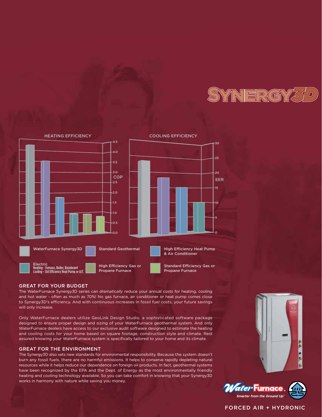



### GREAT FOR YOUR BUDGET

The WaterFurnace Synergy3D series can *dramatically* reduce your annual costs for heating, cooling and hot water - often as much as 70%! No gas furnace, air conditioner or heat pump comes close to Synergy3D's efficiency. And with continuous increases in fossil fuel costs, your future savings will only increase.

Only WaterFurnace dealers utilize GeoLink Design Studio, a sophisticated software package designed to ensure proper design and sizing of your WaterFurnace geothermal system. And only WaterFurnace dealers have access to our exclusive audit software designed to estimate the heating and cooling costs for your home based on square footage, construction style and climate. Rest assured knowing your WaterFurnace system is specifically tailored to your home and its climate.

### GREAT FOR THE ENVIRONMENT

The Synergy3D also sets new standards for environmental responsibility. Because the system doesn't burn any fossil fuels, there are no harmful emissions. It helps to conserve rapidly depleting natural resources while it helps reduce our dependence on foreign oil products. In fact, geothermal systems have been recognized by the EPA and the Dept. of Energy as the most environmentally friendly heating and cooling technology available. So you can take comfort in knowing that your Synergy3D works in harmony with nature while saving you money.





### FORCED AIR + HYDRONIC